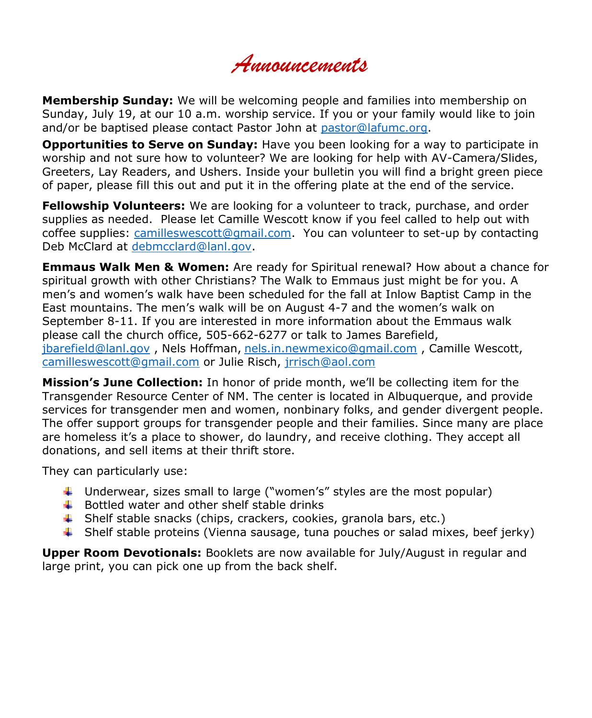*Announcements*

**Membership Sunday:** We will be welcoming people and families into membership on Sunday, July 19, at our 10 a.m. worship service. If you or your family would like to join and/or be baptised please contact Pastor John at [pastor@lafumc.org.](mailto:pastor@lafumc.org)

**Opportunities to Serve on Sunday:** Have you been looking for a way to participate in worship and not sure how to volunteer? We are looking for help with AV-Camera/Slides, Greeters, Lay Readers, and Ushers. Inside your bulletin you will find a bright green piece of paper, please fill this out and put it in the offering plate at the end of the service.

**Fellowship Volunteers:** We are looking for a volunteer to track, purchase, and order supplies as needed. Please let Camille Wescott know if you feel called to help out with coffee supplies: [camilleswescott@gmail.com.](mailto:camilleswescott@gmail.com) You can volunteer to set-up by contacting Deb McClard at [debmcclard@lanl.gov.](mailto:debmcclard@lanl.gov)

**Emmaus Walk Men & Women:** Are ready for Spiritual renewal? How about a chance for spiritual growth with other Christians? The Walk to Emmaus just might be for you. A men's and women's walk have been scheduled for the fall at Inlow Baptist Camp in the East mountains. The men's walk will be on August 4-7 and the women's walk on September 8-11. If you are interested in more information about the Emmaus walk please call the church office, 505-662-6277 or talk to James Barefield, [jbarefield@lanl.gov](mailto:jbarefield@lanl.gov) , Nels Hoffman, [nels.in.newmexico@gmail.com](mailto:nels.in.newmexico@gmail.com) , Camille Wescott, [camilleswescott@gmail.com](mailto:camilleswescott@gmail.com) or Julie Risch, [jrrisch@aol.com](mailto:jrrisch@aol.com)

**Mission's June Collection:** In honor of pride month, we'll be collecting item for the Transgender Resource Center of NM. The center is located in Albuquerque, and provide services for transgender men and women, nonbinary folks, and gender divergent people. The offer support groups for transgender people and their families. Since many are place are homeless it's a place to shower, do laundry, and receive clothing. They accept all donations, and sell items at their thrift store.

They can particularly use:

- Underwear, sizes small to large ("women's" styles are the most popular)
- $\ddot{+}$  Bottled water and other shelf stable drinks
- $\downarrow$  Shelf stable snacks (chips, crackers, cookies, granola bars, etc.)
- $\blacktriangle$  Shelf stable proteins (Vienna sausage, tuna pouches or salad mixes, beef jerky)

**Upper Room Devotionals:** Booklets are now available for July/August in regular and large print, you can pick one up from the back shelf.